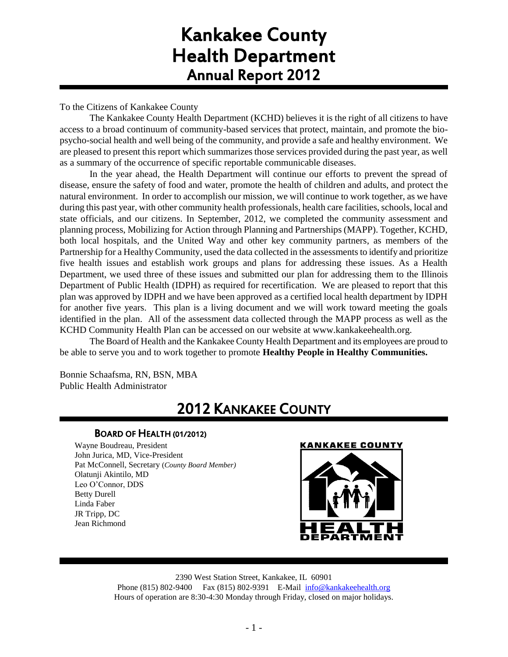# Kankakee County Health Department Annual Report 2012

To the Citizens of Kankakee County

The Kankakee County Health Department (KCHD) believes it is the right of all citizens to have access to a broad continuum of community-based services that protect, maintain, and promote the biopsycho-social health and well being of the community, and provide a safe and healthy environment. We are pleased to present this report which summarizes those services provided during the past year, as well as a summary of the occurrence of specific reportable communicable diseases.

In the year ahead, the Health Department will continue our efforts to prevent the spread of disease, ensure the safety of food and water, promote the health of children and adults, and protect the natural environment. In order to accomplish our mission, we will continue to work together, as we have during this past year, with other community health professionals, health care facilities, schools, local and state officials, and our citizens. In September, 2012, we completed the community assessment and planning process, Mobilizing for Action through Planning and Partnerships (MAPP). Together, KCHD, both local hospitals, and the United Way and other key community partners, as members of the Partnership for a Healthy Community, used the data collected in the assessments to identify and prioritize five health issues and establish work groups and plans for addressing these issues. As a Health Department, we used three of these issues and submitted our plan for addressing them to the Illinois Department of Public Health (IDPH) as required for recertification. We are pleased to report that this plan was approved by IDPH and we have been approved as a certified local health department by IDPH for another five years. This plan is a living document and we will work toward meeting the goals identified in the plan. All of the assessment data collected through the MAPP process as well as the KCHD Community Health Plan can be accessed on our website at www.kankakeehealth.org.

The Board of Health and the Kankakee County Health Department and its employees are proud to be able to serve you and to work together to promote **Healthy People in Healthy Communities.**

Bonnie Schaafsma, RN, BSN, MBA Public Health Administrator

## 2012 KANKAKEE COUNTY

## BOARD OF HEALTH (01/2012)

Wayne Boudreau, President John Jurica, MD, Vice-President Pat McConnell, Secretary (*County Board Member)* Olatunji Akintilo, MD Leo O'Connor, DDS Betty Durell Linda Faber JR Tripp, DC Jean Richmond

#### **KANKAKEE COUNTY**



2390 West Station Street, Kankakee, IL 60901 Phone (815) 802-9400 Fax (815) 802-9391 E-Mail [info@kankakeehealth.org](mailto:pkankake@idphnet.com) Hours of operation are 8:30-4:30 Monday through Friday, closed on major holidays.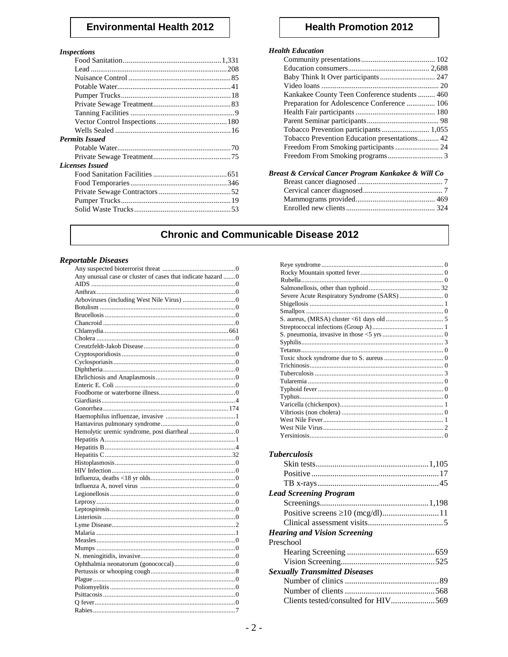## **Environmental Health 2012**

#### **Inspections**

| 1115DCC110115          |  |
|------------------------|--|
|                        |  |
|                        |  |
|                        |  |
|                        |  |
|                        |  |
|                        |  |
|                        |  |
|                        |  |
|                        |  |
| <b>Permits Issued</b>  |  |
|                        |  |
|                        |  |
| <b>Licenses Issued</b> |  |
|                        |  |
|                        |  |
|                        |  |
|                        |  |
|                        |  |
|                        |  |

## **Health Promotion 2012**

## **Health Education**

| uun 17uutuun 1                                |  |
|-----------------------------------------------|--|
|                                               |  |
|                                               |  |
|                                               |  |
|                                               |  |
| Kankakee County Teen Conference students  460 |  |
| Preparation for Adolescence Conference  106   |  |
|                                               |  |
|                                               |  |
| Tobacco Prevention participants  1,055        |  |
|                                               |  |
|                                               |  |
|                                               |  |
|                                               |  |

| Breast & Cervical Cancer Program Kankakee & Will Co |  |
|-----------------------------------------------------|--|
|                                                     |  |
|                                                     |  |
|                                                     |  |
|                                                     |  |
|                                                     |  |

## **Chronic and Communicable Disease 2012**

## **Reportable Diseases**

| Any unusual case or cluster of cases that indicate hazard 0 |
|-------------------------------------------------------------|
|                                                             |
|                                                             |
|                                                             |
|                                                             |
|                                                             |
|                                                             |
|                                                             |
|                                                             |
|                                                             |
|                                                             |
|                                                             |
|                                                             |
|                                                             |
|                                                             |
|                                                             |
|                                                             |
|                                                             |
|                                                             |
|                                                             |
|                                                             |
|                                                             |
|                                                             |
|                                                             |
|                                                             |
|                                                             |
|                                                             |
|                                                             |
|                                                             |
|                                                             |
|                                                             |
|                                                             |
|                                                             |
|                                                             |
|                                                             |
|                                                             |
|                                                             |
|                                                             |
|                                                             |
|                                                             |
|                                                             |
|                                                             |
|                                                             |
|                                                             |
|                                                             |

| <b>Tuberculosis</b>                  |  |
|--------------------------------------|--|
|                                      |  |
|                                      |  |
|                                      |  |
|                                      |  |
| <b>Lead Screening Program</b>        |  |
|                                      |  |
|                                      |  |
|                                      |  |
| <b>Hearing and Vision Screening</b>  |  |
| Preschool                            |  |
|                                      |  |
|                                      |  |
|                                      |  |
| <b>Sexually Transmitted Diseases</b> |  |
|                                      |  |

Clients tested/consulted for HIV.....................569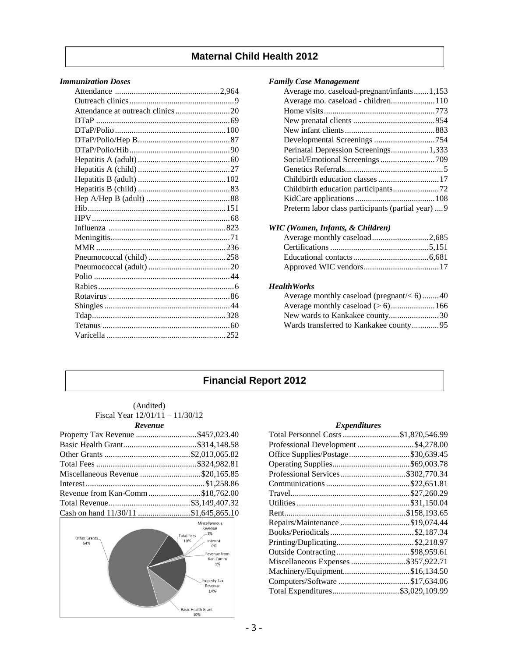## **Maternal Child Health 2012**

## *Immunization Doses*

## *Family Case Management*

| Average mo. caseload-pregnant/infants1,153         |  |
|----------------------------------------------------|--|
| Average mo. caseload - children110                 |  |
|                                                    |  |
|                                                    |  |
|                                                    |  |
|                                                    |  |
| Perinatal Depression Screenings 1,333              |  |
|                                                    |  |
|                                                    |  |
|                                                    |  |
|                                                    |  |
|                                                    |  |
| Preterm labor class participants (partial year)  9 |  |
|                                                    |  |

## *WIC (Women, Infants, & Children)*

#### *HealthWorks*

| Average monthly caseload (pregnant/ $<$ 6) 40 |  |
|-----------------------------------------------|--|
|                                               |  |
|                                               |  |
| Wards transferred to Kankakee county95        |  |

## **Financial Report 2012**

#### (Audited) Fiscal Year 12/01/11 – 11/30/12 *Revenue*

| Property Tax Revenue \$457,023.40    |  |
|--------------------------------------|--|
|                                      |  |
|                                      |  |
|                                      |  |
| Miscellaneous Revenue \$20,165.85    |  |
|                                      |  |
| Revenue from Kan-Comm\$18,762.00     |  |
|                                      |  |
| Cash on hand 11/30/11 \$1,645,865.10 |  |



## *Expenditures*

| Total Personnel Costs \$1,870,546.99 |  |
|--------------------------------------|--|
| Professional Development \$4,278.00  |  |
| Office Supplies/Postage\$30,639.45   |  |
|                                      |  |
| Professional Services \$302,770.34   |  |
|                                      |  |
|                                      |  |
|                                      |  |
|                                      |  |
| Repairs/Maintenance \$19,074.44      |  |
|                                      |  |
|                                      |  |
|                                      |  |
| Miscellaneous Expenses \$357,922.71  |  |
| Machinery/Equipment\$16,134.50       |  |
| Computers/Software \$17,634.06       |  |
| Total Expenditures\$3,029,109.99     |  |
|                                      |  |